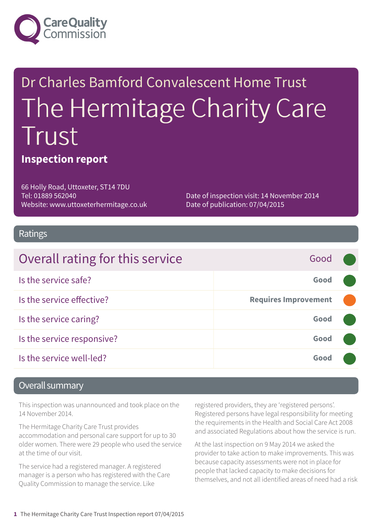

# Dr Charles Bamford Convalescent Home Trust The Hermitage Charity Care Trust

#### **Inspection report**

66 Holly Road, Uttoxeter, ST14 7DU Tel: 01889 562040 Website: www.uttoxeterhermitage.co.uk

Date of inspection visit: 14 November 2014 Date of publication: 07/04/2015

#### Ratings

| Overall rating for this service | Good                        |  |
|---------------------------------|-----------------------------|--|
| Is the service safe?            | Good                        |  |
| Is the service effective?       | <b>Requires Improvement</b> |  |
| Is the service caring?          | Good                        |  |
| Is the service responsive?      | Good                        |  |
| Is the service well-led?        | Good                        |  |

#### Overall summary

This inspection was unannounced and took place on the 14 November 2014.

The Hermitage Charity Care Trust provides accommodation and personal care support for up to 30 older women. There were 29 people who used the service at the time of our visit.

The service had a registered manager. A registered manager is a person who has registered with the Care Quality Commission to manage the service. Like

registered providers, they are 'registered persons'. Registered persons have legal responsibility for meeting the requirements in the Health and Social Care Act 2008 and associated Regulations about how the service is run.

At the last inspection on 9 May 2014 we asked the provider to take action to make improvements. This was because capacity assessments were not in place for people that lacked capacity to make decisions for themselves, and not all identified areas of need had a risk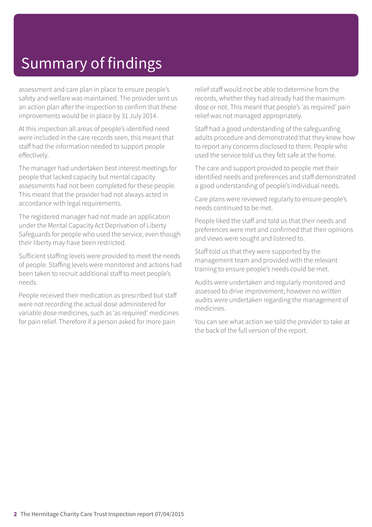# Summary of findings

assessment and care plan in place to ensure people's safety and welfare was maintained. The provider sent us an action plan after the inspection to confirm that these improvements would be in place by 31 July 2014.

At this inspection all areas of people's identified need were included in the care records seen, this meant that staff had the information needed to support people effectively.

The manager had undertaken best interest meetings for people that lacked capacity but mental capacity assessments had not been completed for these people. This meant that the provider had not always acted in accordance with legal requirements.

The registered manager had not made an application under the Mental Capacity Act Deprivation of Liberty Safeguards for people who used the service, even though their liberty may have been restricted.

Sufficient staffing levels were provided to meet the needs of people. Staffing levels were monitored and actions had been taken to recruit additional staff to meet people's needs.

People received their medication as prescribed but staff were not recording the actual dose administered for variable dose medicines, such as 'as required' medicines for pain relief. Therefore if a person asked for more pain

relief staff would not be able to determine from the records, whether they had already had the maximum dose or not. This meant that people's 'as required' pain relief was not managed appropriately.

Staff had a good understanding of the safeguarding adults procedure and demonstrated that they knew how to report any concerns disclosed to them. People who used the service told us they felt safe at the home.

The care and support provided to people met their identified needs and preferences and staff demonstrated a good understanding of people's individual needs.

Care plans were reviewed regularly to ensure people's needs continued to be met.

People liked the staff and told us that their needs and preferences were met and confirmed that their opinions and views were sought and listened to.

Staff told us that they were supported by the management team and provided with the relevant training to ensure people's needs could be met.

Audits were undertaken and regularly monitored and assessed to drive improvement; however no written audits were undertaken regarding the management of medicines.

You can see what action we told the provider to take at the back of the full version of the report.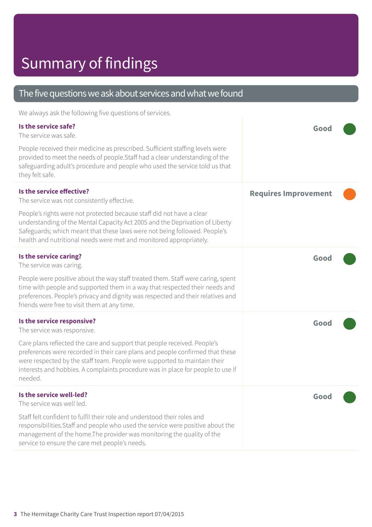# Summary of findings

#### The five questions we ask about services and what we found

We always ask the following five questions of services.

| Is the service safe?<br>The service was safe.<br>People received their medicine as prescribed. Sufficient staffing levels were                                                                                                                                                                                                       | Gooc                        |  |
|--------------------------------------------------------------------------------------------------------------------------------------------------------------------------------------------------------------------------------------------------------------------------------------------------------------------------------------|-----------------------------|--|
| provided to meet the needs of people. Staff had a clear understanding of the<br>safeguarding adult's procedure and people who used the service told us that<br>they felt safe.                                                                                                                                                       |                             |  |
| Is the service effective?<br>The service was not consistently effective.                                                                                                                                                                                                                                                             | <b>Requires Improvement</b> |  |
| People's rights were not protected because staff did not have a clear<br>understanding of the Mental Capacity Act 2005 and the Deprivation of Liberty<br>Safeguards; which meant that these laws were not being followed. People's<br>health and nutritional needs were met and monitored appropriately.                             |                             |  |
| Is the service caring?<br>The service was caring.                                                                                                                                                                                                                                                                                    | Good                        |  |
| People were positive about the way staff treated them. Staff were caring, spent<br>time with people and supported them in a way that respected their needs and<br>preferences. People's privacy and dignity was respected and their relatives and<br>friends were free to visit them at any time.                                    |                             |  |
| Is the service responsive?<br>The service was responsive.                                                                                                                                                                                                                                                                            | Good                        |  |
| Care plans reflected the care and support that people received. People's<br>preferences were recorded in their care plans and people confirmed that these<br>were respected by the staff team. People were supported to maintain their<br>interests and hobbies. A complaints procedure was in place for people to use if<br>needed. |                             |  |
| Is the service well-led?<br>The service was well led.                                                                                                                                                                                                                                                                                | Good                        |  |
| Staff felt confident to fulfil their role and understood their roles and<br>responsibilities. Staff and people who used the service were positive about the<br>management of the home. The provider was monitoring the quality of the<br>service to ensure the care met people's needs.                                              |                             |  |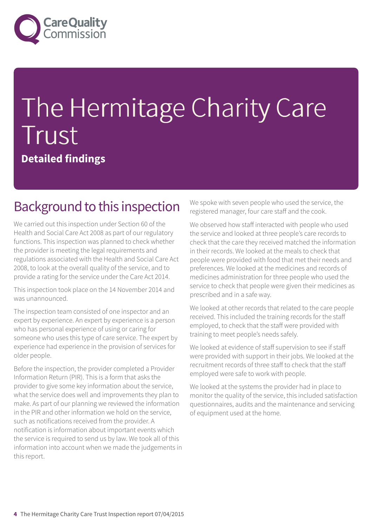

# The Hermitage Charity Care Trust **Detailed findings**

#### Background to this inspection

We carried out this inspection under Section 60 of the Health and Social Care Act 2008 as part of our regulatory functions. This inspection was planned to check whether the provider is meeting the legal requirements and regulations associated with the Health and Social Care Act 2008, to look at the overall quality of the service, and to provide a rating for the service under the Care Act 2014.

This inspection took place on the 14 November 2014 and was unannounced.

The inspection team consisted of one inspector and an expert by experience. An expert by experience is a person who has personal experience of using or caring for someone who uses this type of care service. The expert by experience had experience in the provision of services for older people.

Before the inspection, the provider completed a Provider Information Return (PIR). This is a form that asks the provider to give some key information about the service, what the service does well and improvements they plan to make. As part of our planning we reviewed the information in the PIR and other information we hold on the service, such as notifications received from the provider. A notification is information about important events which the service is required to send us by law. We took all of this information into account when we made the judgements in this report.

We spoke with seven people who used the service, the registered manager, four care staff and the cook.

We observed how staff interacted with people who used the service and looked at three people's care records to check that the care they received matched the information in their records. We looked at the meals to check that people were provided with food that met their needs and preferences. We looked at the medicines and records of medicines administration for three people who used the service to check that people were given their medicines as prescribed and in a safe way.

We looked at other records that related to the care people received. This included the training records for the staff employed, to check that the staff were provided with training to meet people's needs safely.

We looked at evidence of staff supervision to see if staff were provided with support in their jobs. We looked at the recruitment records of three staff to check that the staff employed were safe to work with people.

We looked at the systems the provider had in place to monitor the quality of the service, this included satisfaction questionnaires, audits and the maintenance and servicing of equipment used at the home.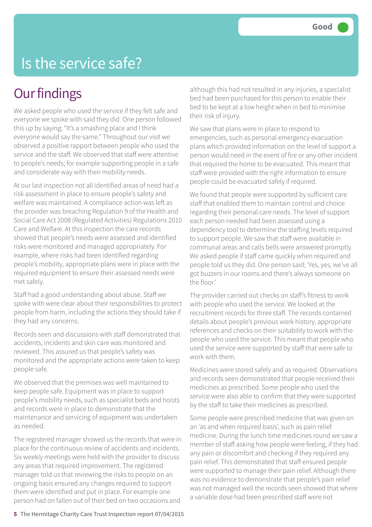### Is the service safe?

#### **Our findings**

We asked people who used the service if they felt safe and everyone we spoke with said they did. One person followed this up by saying; "It's a smashing place and I think everyone would say the same." Throughout our visit we observed a positive rapport between people who used the service and the staff. We observed that staff were attentive to people's needs; for example supporting people in a safe and considerate way with their mobility needs.

At our last inspection not all identified areas of need had a risk assessment in place to ensure people's safety and welfare was maintained. A compliance action was left as the provider was breaching Regulation 9 of the Health and Social Care Act 2008 (Regulated Activities) Regulations 2010 Care and Welfare. At this inspection the care records showed that people's needs were assessed and identified risks were monitored and managed appropriately. For example, where risks had been identified regarding people's mobility, appropriate plans were in place with the required equipment to ensure their assessed needs were met safely.

Staff had a good understanding about abuse. Staff we spoke with were clear about their responsibilities to protect people from harm, including the actions they should take if they had any concerns.

Records seen and discussions with staff demonstrated that accidents, incidents and skin care was monitored and reviewed. This assured us that people's safety was monitored and the appropriate actions were taken to keep people safe.

We observed that the premises was well maintained to keep people safe. Equipment was in place to support people's mobility needs, such as specialist beds and hoists and records were in place to demonstrate that the maintenance and servicing of equipment was undertaken as needed.

The registered manager showed us the records that were in place for the continuous review of accidents and incidents. Six weekly meetings were held with the provider to discuss any areas that required improvement. The registered manager told us that reviewing the risks to people on an ongoing basis ensured any changes required to support them were identified and put in place. For example one person had on fallen out of their bed on two occasions and

although this had not resulted in any injuries, a specialist bed had been purchased for this person to enable their bed to be kept at a low height when in bed to minimise their risk of injury.

We saw that plans were in place to respond to emergencies, such as personal emergency evacuation plans which provided information on the level of support a person would need in the event of fire or any other incident that required the home to be evacuated. This meant that staff were provided with the right information to ensure people could be evacuated safely if required.

We found that people were supported by sufficient care staff that enabled them to maintain control and choice regarding their personal care needs. The level of support each person needed had been assessed using a dependency tool to determine the staffing levels required to support people. We saw that staff were available in communal areas and calls bells were answered promptly. We asked people if staff came quickly when required and people told us they did. One person said; 'Yes, yes, we've all got buzzers in our rooms and there's always someone on the floor.'

The provider carried out checks on staff's fitness to work with people who used the service. We looked at the recruitment records for three staff. The records contained details about people's previous work history, appropriate references and checks on their suitability to work with the people who used the service. This meant that people who used the service were supported by staff that were safe to work with them.

Medicines were stored safely and as required. Observations and records seen demonstrated that people received their medicines as prescribed. Some people who used the service were also able to confirm that they were supported by the staff to take their medicines as prescribed.

Some people were prescribed medicine that was given on an 'as and when required basis', such as pain relief medicine. During the lunch time medicines round we saw a member of staff asking how people were feeling, if they had any pain or discomfort and checking if they required any pain relief. This demonstrated that staff ensured people were supported to manage their pain relief. Although there was no evidence to demonstrate that people's pain relief was not managed well the records seen showed that where a variable dose had been prescribed staff were not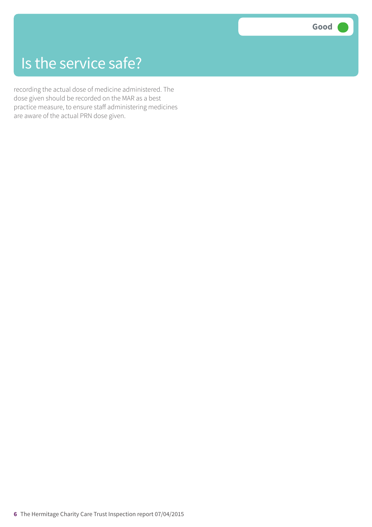### Is the service safe?

recording the actual dose of medicine administered. The dose given should be recorded on the MAR as a best practice measure, to ensure staff administering medicines are aware of the actual PRN dose given.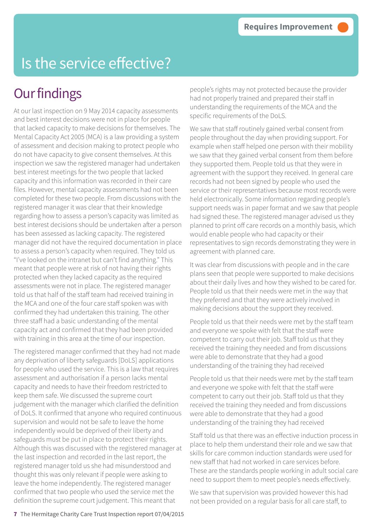# Is the service effective?

### **Our findings**

At our last inspection on 9 May 2014 capacity assessments and best interest decisions were not in place for people that lacked capacity to make decisions for themselves. The Mental Capacity Act 2005 (MCA) is a law providing a system of assessment and decision making to protect people who do not have capacity to give consent themselves. At this inspection we saw the registered manager had undertaken best interest meetings for the two people that lacked capacity and this information was recorded in their care files. However, mental capacity assessments had not been completed for these two people. From discussions with the registered manager it was clear that their knowledge regarding how to assess a person's capacity was limited as best interest decisions should be undertaken after a person has been assessed as lacking capacity. The registered manager did not have the required documentation in place to assess a person's capacity when required. They told us "I've looked on the intranet but can't find anything." This meant that people were at risk of not having their rights protected when they lacked capacity as the required assessments were not in place. The registered manager told us that half of the staff team had received training in the MCA and one of the four care staff spoken was with confirmed they had undertaken this training. The other three staff had a basic understanding of the mental capacity act and confirmed that they had been provided with training in this area at the time of our inspection.

The registered manager confirmed that they had not made any deprivation of liberty safeguards [DoLS] applications for people who used the service. This is a law that requires assessment and authorisation if a person lacks mental capacity and needs to have their freedom restricted to keep them safe. We discussed the supreme court judgement with the manager which clarified the definition of DoLS. It confirmed that anyone who required continuous supervision and would not be safe to leave the home independently would be deprived of their liberty and safeguards must be put in place to protect their rights. Although this was discussed with the registered manager at the last inspection and recorded in the last report, the registered manager told us she had misunderstood and thought this was only relevant if people were asking to leave the home independently. The registered manager confirmed that two people who used the service met the definition the supreme court judgement. This meant that

people's rights may not protected because the provider had not properly trained and prepared their staff in understanding the requirements of the MCA and the specific requirements of the DoLS.

We saw that staff routinely gained verbal consent from people throughout the day when providing support. For example when staff helped one person with their mobility we saw that they gained verbal consent from them before they supported them. People told us that they were in agreement with the support they received. In general care records had not been signed by people who used the service or their representatives because most records were held electronically. Some information regarding people's support needs was in paper format and we saw that people had signed these. The registered manager advised us they planned to print off care records on a monthly basis, which would enable people who had capacity or their representatives to sign records demonstrating they were in agreement with planned care.

It was clear from discussions with people and in the care plans seen that people were supported to make decisions about their daily lives and how they wished to be cared for. People told us that their needs were met in the way that they preferred and that they were actively involved in making decisions about the support they received.

People told us that their needs were met by the staff team and everyone we spoke with felt that the staff were competent to carry out their job. Staff told us that they received the training they needed and from discussions were able to demonstrate that they had a good understanding of the training they had received

People told us that their needs were met by the staff team and everyone we spoke with felt that the staff were competent to carry out their job. Staff told us that they received the training they needed and from discussions were able to demonstrate that they had a good understanding of the training they had received

Staff told us that there was an effective induction process in place to help them understand their role and we saw that skills for care common induction standards were used for new staff that had not worked in care services before. These are the standards people working in adult social care need to support them to meet people's needs effectively.

We saw that supervision was provided however this had not been provided on a regular basis for all care staff, to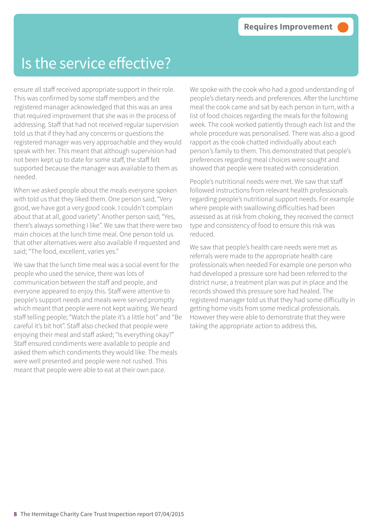#### Is the service effective?

ensure all staff received appropriate support in their role. This was confirmed by some staff members and the registered manager acknowledged that this was an area that required improvement that she was in the process of addressing. Staff that had not received regular supervision told us that if they had any concerns or questions the registered manager was very approachable and they would speak with her. This meant that although supervision had not been kept up to date for some staff, the staff felt supported because the manager was available to them as needed.

When we asked people about the meals everyone spoken with told us that they liked them. One person said; "Very good, we have got a very good cook. I couldn't complain about that at all, good variety". Another person said; "Yes, there's always something I like". We saw that there were two main choices at the lunch time meal. One person told us that other alternatives were also available if requested and said; "The food, excellent, varies yes."

We saw that the lunch time meal was a social event for the people who used the service, there was lots of communication between the staff and people, and everyone appeared to enjoy this. Staff were attentive to people's support needs and meals were served promptly which meant that people were not kept waiting. We heard staff telling people; "Watch the plate it's a little hot" and "Be careful it's bit hot". Staff also checked that people were enjoying their meal and staff asked; "Is everything okay?" Staff ensured condiments were available to people and asked them which condiments they would like. The meals were well presented and people were not rushed. This meant that people were able to eat at their own pace.

We spoke with the cook who had a good understanding of people's dietary needs and preferences. After the lunchtime meal the cook came and sat by each person in turn, with a list of food choices regarding the meals for the following week. The cook worked patiently through each list and the whole procedure was personalised. There was also a good rapport as the cook chatted individually about each person's family to them. This demonstrated that people's preferences regarding meal choices were sought and showed that people were treated with consideration.

People's nutritional needs were met. We saw that staff followed instructions from relevant health professionals regarding people's nutritional support needs. For example where people with swallowing difficulties had been assessed as at risk from choking, they received the correct type and consistency of food to ensure this risk was reduced.

We saw that people's health care needs were met as referrals were made to the appropriate health care professionals when needed For example one person who had developed a pressure sore had been referred to the district nurse, a treatment plan was put in place and the records showed this pressure sore had healed. The registered manager told us that they had some difficulty in getting home visits from some medical professionals. However they were able to demonstrate that they were taking the appropriate action to address this.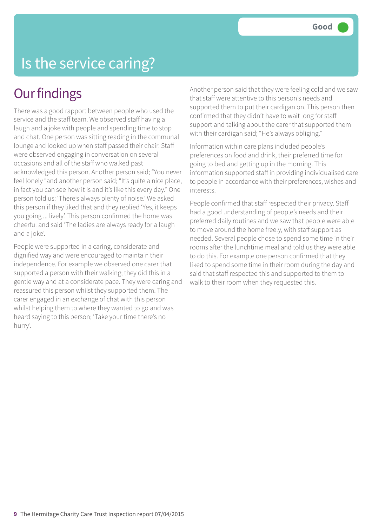# Is the service caring?

#### **Our findings**

There was a good rapport between people who used the service and the staff team. We observed staff having a laugh and a joke with people and spending time to stop and chat. One person was sitting reading in the communal lounge and looked up when staff passed their chair. Staff were observed engaging in conversation on several occasions and all of the staff who walked past acknowledged this person. Another person said; "You never feel lonely "and another person said; "It's quite a nice place, in fact you can see how it is and it's like this every day." One person told us: 'There's always plenty of noise.' We asked this person if they liked that and they replied 'Yes, it keeps you going ... lively'. This person confirmed the home was cheerful and said 'The ladies are always ready for a laugh and a joke'.

People were supported in a caring, considerate and dignified way and were encouraged to maintain their independence. For example we observed one carer that supported a person with their walking; they did this in a gentle way and at a considerate pace. They were caring and reassured this person whilst they supported them. The carer engaged in an exchange of chat with this person whilst helping them to where they wanted to go and was heard saying to this person; 'Take your time there's no hurry'.

Another person said that they were feeling cold and we saw that staff were attentive to this person's needs and supported them to put their cardigan on. This person then confirmed that they didn't have to wait long for staff support and talking about the carer that supported them with their cardigan said; "He's always obliging."

Information within care plans included people's preferences on food and drink, their preferred time for going to bed and getting up in the morning. This information supported staff in providing individualised care to people in accordance with their preferences, wishes and interests.

People confirmed that staff respected their privacy. Staff had a good understanding of people's needs and their preferred daily routines and we saw that people were able to move around the home freely, with staff support as needed. Several people chose to spend some time in their rooms after the lunchtime meal and told us they were able to do this. For example one person confirmed that they liked to spend some time in their room during the day and said that staff respected this and supported to them to walk to their room when they requested this.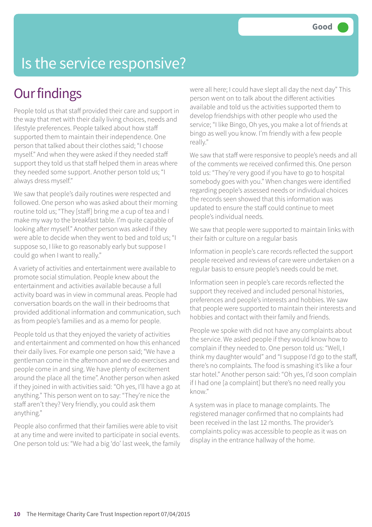# Is the service responsive?

### **Our findings**

People told us that staff provided their care and support in the way that met with their daily living choices, needs and lifestyle preferences. People talked about how staff supported them to maintain their independence. One person that talked about their clothes said; "I choose myself." And when they were asked if they needed staff support they told us that staff helped them in areas where they needed some support. Another person told us; "I always dress myself."

We saw that people's daily routines were respected and followed. One person who was asked about their morning routine told us; "They [staff] bring me a cup of tea and I make my way to the breakfast table. I'm quite capable of looking after myself." Another person was asked if they were able to decide when they went to bed and told us; "I suppose so, I like to go reasonably early but suppose I could go when I want to really."

A variety of activities and entertainment were available to promote social stimulation. People knew about the entertainment and activities available because a full activity board was in view in communal areas. People had conversation boards on the wall in their bedrooms that provided additional information and communication, such as from people's families and as a memo for people.

People told us that they enjoyed the variety of activities and entertainment and commented on how this enhanced their daily lives. For example one person said; "We have a gentleman come in the afternoon and we do exercises and people come in and sing. We have plenty of excitement around the place all the time". Another person when asked if they joined in with activities said: "Oh yes, I'll have a go at anything." This person went on to say: "They're nice the staff aren't they? Very friendly, you could ask them anything."

People also confirmed that their families were able to visit at any time and were invited to participate in social events. One person told us: "We had a big 'do' last week, the family were all here; I could have slept all day the next day" This person went on to talk about the different activities available and told us the activities supported them to develop friendships with other people who used the service; "I like Bingo, Oh yes, you make a lot of friends at bingo as well you know. I'm friendly with a few people really."

We saw that staff were responsive to people's needs and all of the comments we received confirmed this. One person told us: "They're very good if you have to go to hospital somebody goes with you." When changes were identified regarding people's assessed needs or individual choices the records seen showed that this information was updated to ensure the staff could continue to meet people's individual needs.

We saw that people were supported to maintain links with their faith or culture on a regular basis

Information in people's care records reflected the support people received and reviews of care were undertaken on a regular basis to ensure people's needs could be met.

Information seen in people's care records reflected the support they received and included personal histories, preferences and people's interests and hobbies. We saw that people were supported to maintain their interests and hobbies and contact with their family and friends.

People we spoke with did not have any complaints about the service. We asked people if they would know how to complain if they needed to. One person told us: "Well, I think my daughter would" and "I suppose I'd go to the staff, there's no complaints. The food is smashing it's like a four star hotel." Another person said: "Oh yes, I'd soon complain if I had one [a complaint] but there's no need really you know."

A system was in place to manage complaints. The registered manager confirmed that no complaints had been received in the last 12 months. The provider's complaints policy was accessible to people as it was on display in the entrance hallway of the home.